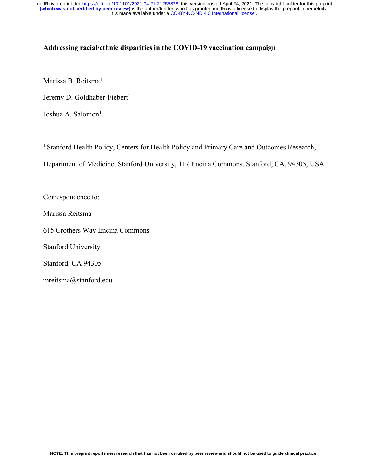#### **Addressing racial/ethnic disparities in the COVID-19 vaccination campaign**

Marissa B. Reitsma<sup>1</sup>

Jeremy D. Goldhaber-Fiebert<sup>1</sup>

Joshua A. Salomon<sup>1</sup>

<sup>1</sup> Stanford Health Policy, Centers for Health Policy and Primary Care and Outcomes Research,

Department of Medicine, Stanford University, 117 Encina Commons, Stanford, CA, 94305, USA

Correspondence to:

Marissa Reitsma

615 Crothers Way Encina Commons

Stanford University

Stanford, CA 94305

mreitsma@stanford.edu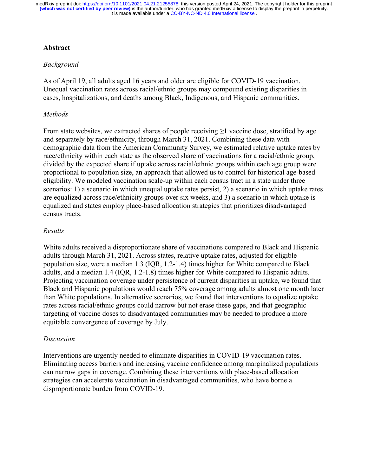## **Abstract**

## *Background*

As of April 19, all adults aged 16 years and older are eligible for COVID-19 vaccination. Unequal vaccination rates across racial/ethnic groups may compound existing disparities in cases, hospitalizations, and deaths among Black, Indigenous, and Hispanic communities.

## *Methods*

From state websites, we extracted shares of people receiving  $\geq 1$  vaccine dose, stratified by age and separately by race/ethnicity, through March 31, 2021. Combining these data with demographic data from the American Community Survey, we estimated relative uptake rates by race/ethnicity within each state as the observed share of vaccinations for a racial/ethnic group, divided by the expected share if uptake across racial/ethnic groups within each age group were proportional to population size, an approach that allowed us to control for historical age-based eligibility. We modeled vaccination scale-up within each census tract in a state under three scenarios: 1) a scenario in which unequal uptake rates persist, 2) a scenario in which uptake rates are equalized across race/ethnicity groups over six weeks, and 3) a scenario in which uptake is equalized and states employ place-based allocation strategies that prioritizes disadvantaged census tracts.

### *Results*

White adults received a disproportionate share of vaccinations compared to Black and Hispanic adults through March 31, 2021. Across states, relative uptake rates, adjusted for eligible population size, were a median 1.3 (IQR, 1.2-1.4) times higher for White compared to Black adults, and a median 1.4 (IQR, 1.2-1.8) times higher for White compared to Hispanic adults. Projecting vaccination coverage under persistence of current disparities in uptake, we found that Black and Hispanic populations would reach 75% coverage among adults almost one month later than White populations. In alternative scenarios, we found that interventions to equalize uptake rates across racial/ethnic groups could narrow but not erase these gaps, and that geographic targeting of vaccine doses to disadvantaged communities may be needed to produce a more equitable convergence of coverage by July.

### *Discussion*

Interventions are urgently needed to eliminate disparities in COVID-19 vaccination rates. Eliminating access barriers and increasing vaccine confidence among marginalized populations can narrow gaps in coverage. Combining these interventions with place-based allocation strategies can accelerate vaccination in disadvantaged communities, who have borne a disproportionate burden from COVID-19.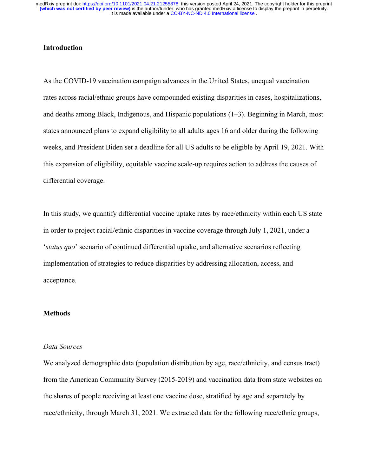## **Introduction**

As the COVID-19 vaccination campaign advances in the United States, unequal vaccination rates across racial/ethnic groups have compounded existing disparities in cases, hospitalizations, and deaths among Black, Indigenous, and Hispanic populations (1–3). Beginning in March, most states announced plans to expand eligibility to all adults ages 16 and older during the following weeks, and President Biden set a deadline for all US adults to be eligible by April 19, 2021. With this expansion of eligibility, equitable vaccine scale-up requires action to address the causes of differential coverage.

In this study, we quantify differential vaccine uptake rates by race/ethnicity within each US state in order to project racial/ethnic disparities in vaccine coverage through July 1, 2021, under a '*status quo*' scenario of continued differential uptake, and alternative scenarios reflecting implementation of strategies to reduce disparities by addressing allocation, access, and acceptance.

### **Methods**

#### *Data Sources*

We analyzed demographic data (population distribution by age, race/ethnicity, and census tract) from the American Community Survey (2015-2019) and vaccination data from state websites on the shares of people receiving at least one vaccine dose, stratified by age and separately by race/ethnicity, through March 31, 2021. We extracted data for the following race/ethnic groups,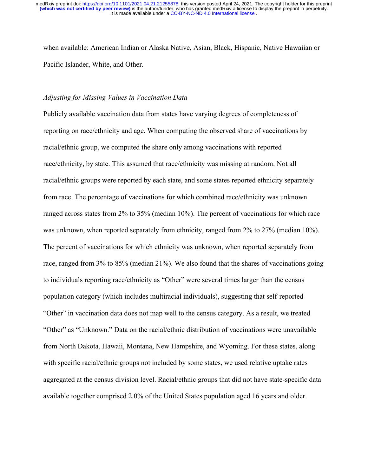when available: American Indian or Alaska Native, Asian, Black, Hispanic, Native Hawaiian or Pacific Islander, White, and Other.

#### *Adjusting for Missing Values in Vaccination Data*

Publicly available vaccination data from states have varying degrees of completeness of reporting on race/ethnicity and age. When computing the observed share of vaccinations by racial/ethnic group, we computed the share only among vaccinations with reported race/ethnicity, by state. This assumed that race/ethnicity was missing at random. Not all racial/ethnic groups were reported by each state, and some states reported ethnicity separately from race. The percentage of vaccinations for which combined race/ethnicity was unknown ranged across states from 2% to 35% (median 10%). The percent of vaccinations for which race was unknown, when reported separately from ethnicity, ranged from 2% to 27% (median 10%). The percent of vaccinations for which ethnicity was unknown, when reported separately from race, ranged from 3% to 85% (median 21%). We also found that the shares of vaccinations going to individuals reporting race/ethnicity as "Other" were several times larger than the census population category (which includes multiracial individuals), suggesting that self-reported "Other" in vaccination data does not map well to the census category. As a result, we treated "Other" as "Unknown." Data on the racial/ethnic distribution of vaccinations were unavailable from North Dakota, Hawaii, Montana, New Hampshire, and Wyoming. For these states, along with specific racial/ethnic groups not included by some states, we used relative uptake rates aggregated at the census division level. Racial/ethnic groups that did not have state-specific data available together comprised 2.0% of the United States population aged 16 years and older.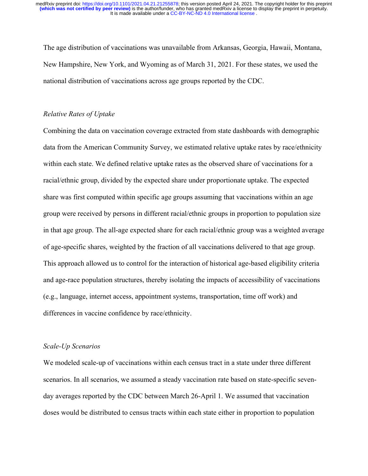The age distribution of vaccinations was unavailable from Arkansas, Georgia, Hawaii, Montana, New Hampshire, New York, and Wyoming as of March 31, 2021. For these states, we used the national distribution of vaccinations across age groups reported by the CDC.

#### *Relative Rates of Uptake*

Combining the data on vaccination coverage extracted from state dashboards with demographic data from the American Community Survey, we estimated relative uptake rates by race/ethnicity within each state. We defined relative uptake rates as the observed share of vaccinations for a racial/ethnic group, divided by the expected share under proportionate uptake. The expected share was first computed within specific age groups assuming that vaccinations within an age group were received by persons in different racial/ethnic groups in proportion to population size in that age group. The all-age expected share for each racial/ethnic group was a weighted average of age-specific shares, weighted by the fraction of all vaccinations delivered to that age group. This approach allowed us to control for the interaction of historical age-based eligibility criteria and age-race population structures, thereby isolating the impacts of accessibility of vaccinations (e.g., language, internet access, appointment systems, transportation, time off work) and differences in vaccine confidence by race/ethnicity.

#### *Scale-Up Scenarios*

We modeled scale-up of vaccinations within each census tract in a state under three different scenarios. In all scenarios, we assumed a steady vaccination rate based on state-specific sevenday averages reported by the CDC between March 26-April 1. We assumed that vaccination doses would be distributed to census tracts within each state either in proportion to population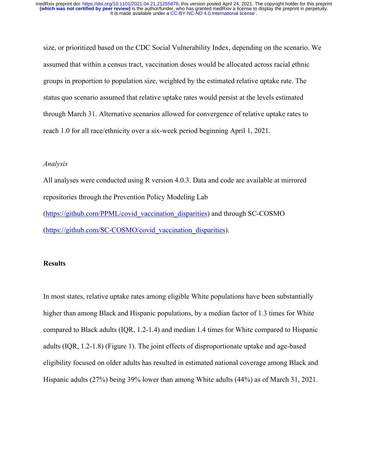size, or prioritized based on the CDC Social Vulnerability Index, depending on the scenario. We assumed that within a census tract, vaccination doses would be allocated across racial ethnic groups in proportion to population size, weighted by the estimated relative uptake rate. The status quo scenario assumed that relative uptake rates would persist at the levels estimated through March 31. Alternative scenarios allowed for convergence of relative uptake rates to reach 1.0 for all race/ethnicity over a six-week period beginning April 1, 2021.

### *Analysis*

All analyses were conducted using R version 4.0.3. Data and code are available at mirrored repositories through the Prevention Policy Modeling Lab (https://github.com/PPML/covid\_vaccination\_disparities) and through SC-COSMO (https://github.com/SC-COSMO/covid\_vaccination\_disparities).

#### **Results**

In most states, relative uptake rates among eligible White populations have been substantially higher than among Black and Hispanic populations, by a median factor of 1.3 times for White compared to Black adults (IQR, 1.2-1.4) and median 1.4 times for White compared to Hispanic adults (IQR, 1.2-1.8) (Figure 1). The joint effects of disproportionate uptake and age-based eligibility focused on older adults has resulted in estimated national coverage among Black and Hispanic adults (27%) being 39% lower than among White adults (44%) as of March 31, 2021.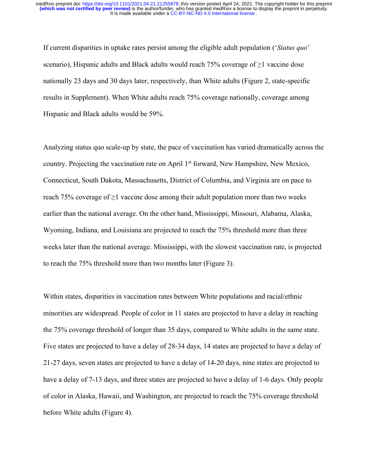It is made available under a [CC-BY-NC-ND 4.0 International license](http://creativecommons.org/licenses/by-nc-nd/4.0/) . **(which was not certified by peer review)** is the author/funder, who has granted medRxiv a license to display the preprint in perpetuity. medRxiv preprint doi: [https://doi.org/10.1101/2021.04.21.21255878;](https://doi.org/10.1101/2021.04.21.21255878) this version posted April 24, 2021. The copyright holder for this preprint

If current disparities in uptake rates persist among the eligible adult population ('*Status quo*' scenario), Hispanic adults and Black adults would reach 75% coverage of  $\geq$ 1 vaccine dose nationally 23 days and 30 days later, respectively, than White adults (Figure 2, state-specific results in Supplement). When White adults reach 75% coverage nationally, coverage among Hispanic and Black adults would be 59%.

Analyzing status quo scale-up by state, the pace of vaccination has varied dramatically across the country. Projecting the vaccination rate on April 1<sup>st</sup> forward, New Hampshire, New Mexico, Connecticut, South Dakota, Massachusetts, District of Columbia, and Virginia are on pace to reach 75% coverage of  $\geq$ 1 vaccine dose among their adult population more than two weeks earlier than the national average. On the other hand, Mississippi, Missouri, Alabama, Alaska, Wyoming, Indiana, and Louisiana are projected to reach the 75% threshold more than three weeks later than the national average. Mississippi, with the slowest vaccination rate, is projected to reach the 75% threshold more than two months later (Figure 3).

Within states, disparities in vaccination rates between White populations and racial/ethnic minorities are widespread. People of color in 11 states are projected to have a delay in reaching the 75% coverage threshold of longer than 35 days, compared to White adults in the same state. Five states are projected to have a delay of 28-34 days, 14 states are projected to have a delay of 21-27 days, seven states are projected to have a delay of 14-20 days, nine states are projected to have a delay of 7-13 days, and three states are projected to have a delay of 1-6 days. Only people of color in Alaska, Hawaii, and Washington, are projected to reach the 75% coverage threshold before White adults (Figure 4).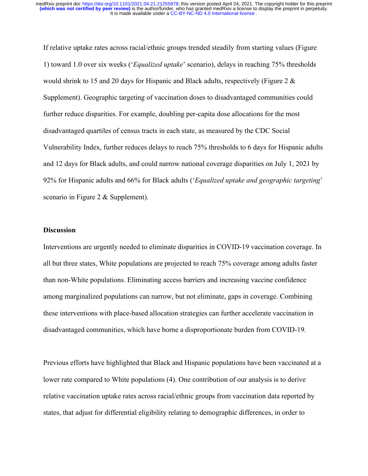If relative uptake rates across racial/ethnic groups trended steadily from starting values (Figure 1) toward 1.0 over six weeks ('*Equalized uptake*' scenario), delays in reaching 75% thresholds would shrink to 15 and 20 days for Hispanic and Black adults, respectively (Figure 2 & Supplement). Geographic targeting of vaccination doses to disadvantaged communities could further reduce disparities. For example, doubling per-capita dose allocations for the most disadvantaged quartiles of census tracts in each state, as measured by the CDC Social Vulnerability Index, further reduces delays to reach 75% thresholds to 6 days for Hispanic adults and 12 days for Black adults, and could narrow national coverage disparities on July 1, 2021 by 92% for Hispanic adults and 66% for Black adults ('*Equalized uptake and geographic targeting*' scenario in Figure 2 & Supplement).

### **Discussion**

Interventions are urgently needed to eliminate disparities in COVID-19 vaccination coverage. In all but three states, White populations are projected to reach 75% coverage among adults faster than non-White populations. Eliminating access barriers and increasing vaccine confidence among marginalized populations can narrow, but not eliminate, gaps in coverage. Combining these interventions with place-based allocation strategies can further accelerate vaccination in disadvantaged communities, which have borne a disproportionate burden from COVID-19.

Previous efforts have highlighted that Black and Hispanic populations have been vaccinated at a lower rate compared to White populations (4). One contribution of our analysis is to derive relative vaccination uptake rates across racial/ethnic groups from vaccination data reported by states, that adjust for differential eligibility relating to demographic differences, in order to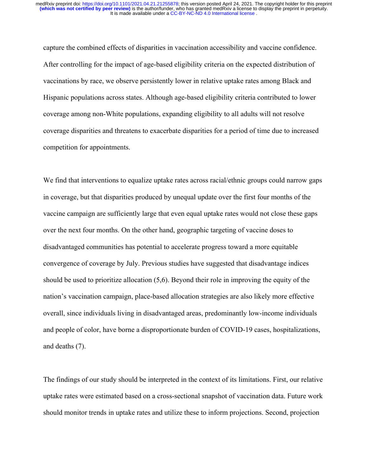capture the combined effects of disparities in vaccination accessibility and vaccine confidence. After controlling for the impact of age-based eligibility criteria on the expected distribution of vaccinations by race, we observe persistently lower in relative uptake rates among Black and Hispanic populations across states. Although age-based eligibility criteria contributed to lower coverage among non-White populations, expanding eligibility to all adults will not resolve coverage disparities and threatens to exacerbate disparities for a period of time due to increased competition for appointments.

We find that interventions to equalize uptake rates across racial/ethnic groups could narrow gaps in coverage, but that disparities produced by unequal update over the first four months of the vaccine campaign are sufficiently large that even equal uptake rates would not close these gaps over the next four months. On the other hand, geographic targeting of vaccine doses to disadvantaged communities has potential to accelerate progress toward a more equitable convergence of coverage by July. Previous studies have suggested that disadvantage indices should be used to prioritize allocation (5,6). Beyond their role in improving the equity of the nation's vaccination campaign, place-based allocation strategies are also likely more effective overall, since individuals living in disadvantaged areas, predominantly low-income individuals and people of color, have borne a disproportionate burden of COVID-19 cases, hospitalizations, and deaths (7).

The findings of our study should be interpreted in the context of its limitations. First, our relative uptake rates were estimated based on a cross-sectional snapshot of vaccination data. Future work should monitor trends in uptake rates and utilize these to inform projections. Second, projection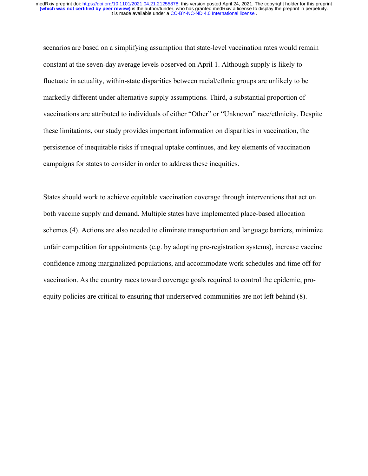scenarios are based on a simplifying assumption that state-level vaccination rates would remain constant at the seven-day average levels observed on April 1. Although supply is likely to fluctuate in actuality, within-state disparities between racial/ethnic groups are unlikely to be markedly different under alternative supply assumptions. Third, a substantial proportion of vaccinations are attributed to individuals of either "Other" or "Unknown" race/ethnicity. Despite these limitations, our study provides important information on disparities in vaccination, the persistence of inequitable risks if unequal uptake continues, and key elements of vaccination campaigns for states to consider in order to address these inequities.

States should work to achieve equitable vaccination coverage through interventions that act on both vaccine supply and demand. Multiple states have implemented place-based allocation schemes (4). Actions are also needed to eliminate transportation and language barriers, minimize unfair competition for appointments (e.g. by adopting pre-registration systems), increase vaccine confidence among marginalized populations, and accommodate work schedules and time off for vaccination. As the country races toward coverage goals required to control the epidemic, proequity policies are critical to ensuring that underserved communities are not left behind (8).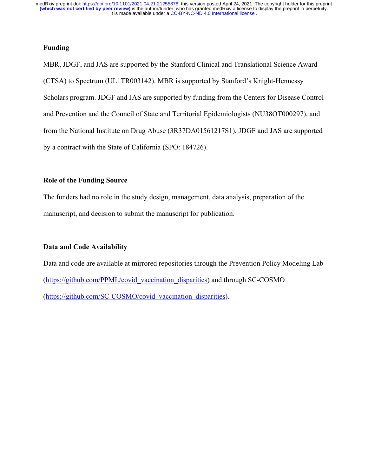### **Funding**

MBR, JDGF, and JAS are supported by the Stanford Clinical and Translational Science Award (CTSA) to Spectrum (UL1TR003142). MBR is supported by Stanford's Knight-Hennessy Scholars program. JDGF and JAS are supported by funding from the Centers for Disease Control and Prevention and the Council of State and Territorial Epidemiologists (NU38OT000297), and from the National Institute on Drug Abuse (3R37DA01561217S1). JDGF and JAS are supported by a contract with the State of California (SPO: 184726).

### **Role of the Funding Source**

The funders had no role in the study design, management, data analysis, preparation of the manuscript, and decision to submit the manuscript for publication.

# **Data and Code Availability**

Data and code are available at mirrored repositories through the Prevention Policy Modeling Lab (https://github.com/PPML/covid\_vaccination\_disparities) and through SC-COSMO (https://github.com/SC-COSMO/covid\_vaccination\_disparities).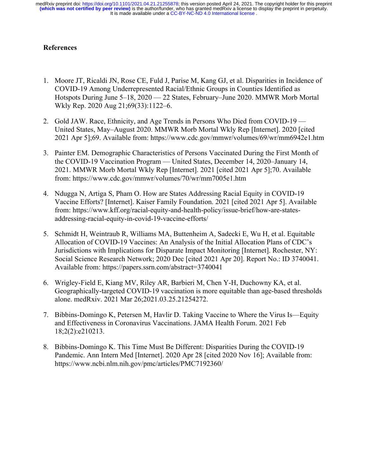# **References**

- 1. Moore JT, Ricaldi JN, Rose CE, Fuld J, Parise M, Kang GJ, et al. Disparities in Incidence of COVID-19 Among Underrepresented Racial/Ethnic Groups in Counties Identified as Hotspots During June 5–18, 2020 — 22 States, February–June 2020. MMWR Morb Mortal Wkly Rep. 2020 Aug 21;69(33):1122–6.
- 2. Gold JAW. Race, Ethnicity, and Age Trends in Persons Who Died from COVID-19 United States, May–August 2020. MMWR Morb Mortal Wkly Rep [Internet]. 2020 [cited 2021 Apr 5];69. Available from: https://www.cdc.gov/mmwr/volumes/69/wr/mm6942e1.htm
- 3. Painter EM. Demographic Characteristics of Persons Vaccinated During the First Month of the COVID-19 Vaccination Program — United States, December 14, 2020–January 14, 2021. MMWR Morb Mortal Wkly Rep [Internet]. 2021 [cited 2021 Apr 5];70. Available from: https://www.cdc.gov/mmwr/volumes/70/wr/mm7005e1.htm
- 4. Ndugga N, Artiga S, Pham O. How are States Addressing Racial Equity in COVID-19 Vaccine Efforts? [Internet]. Kaiser Family Foundation. 2021 [cited 2021 Apr 5]. Available from: https://www.kff.org/racial-equity-and-health-policy/issue-brief/how-are-statesaddressing-racial-equity-in-covid-19-vaccine-efforts/
- 5. Schmidt H, Weintraub R, Williams MA, Buttenheim A, Sadecki E, Wu H, et al. Equitable Allocation of COVID-19 Vaccines: An Analysis of the Initial Allocation Plans of CDC's Jurisdictions with Implications for Disparate Impact Monitoring [Internet]. Rochester, NY: Social Science Research Network; 2020 Dec [cited 2021 Apr 20]. Report No.: ID 3740041. Available from: https://papers.ssrn.com/abstract=3740041
- 6. Wrigley-Field E, Kiang MV, Riley AR, Barbieri M, Chen Y-H, Duchowny KA, et al. Geographically-targeted COVID-19 vaccination is more equitable than age-based thresholds alone. medRxiv. 2021 Mar 26;2021.03.25.21254272.
- 7. Bibbins-Domingo K, Petersen M, Havlir D. Taking Vaccine to Where the Virus Is—Equity and Effectiveness in Coronavirus Vaccinations. JAMA Health Forum. 2021 Feb 18;2(2):e210213.
- 8. Bibbins-Domingo K. This Time Must Be Different: Disparities During the COVID-19 Pandemic. Ann Intern Med [Internet]. 2020 Apr 28 [cited 2020 Nov 16]; Available from: https://www.ncbi.nlm.nih.gov/pmc/articles/PMC7192360/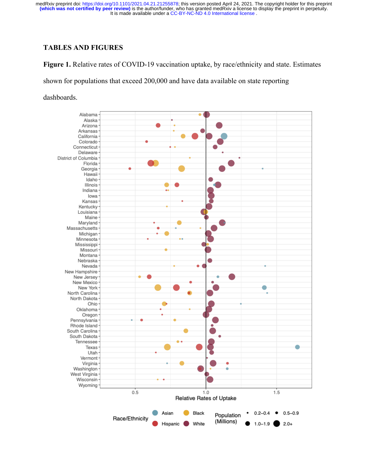# **TABLES AND FIGURES**

**Figure 1.** Relative rates of COVID-19 vaccination uptake, by race/ethnicity and state. Estimates

shown for populations that exceed 200,000 and have data available on state reporting

dashboards.

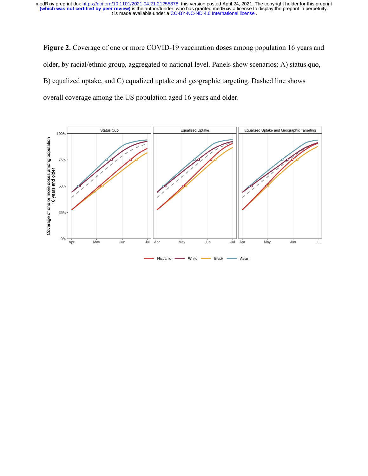Figure 2. Coverage of one or more COVID-19 vaccination doses among population 16 years and older, by racial/ethnic group, aggregated to national level. Panels show scenarios: A) status quo, B) equalized uptake, and C) equalized uptake and geographic targeting. Dashed line shows overall coverage among the US population aged 16 years and older.

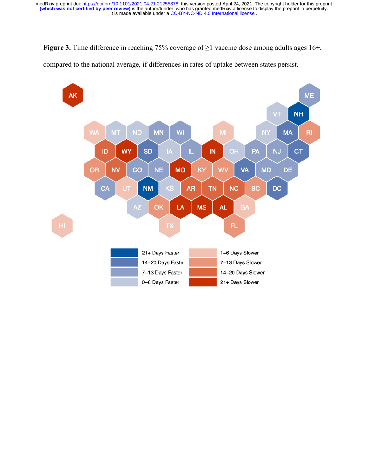**Figure 3.** Time difference in reaching 75% coverage of ≥1 vaccine dose among adults ages 16+,